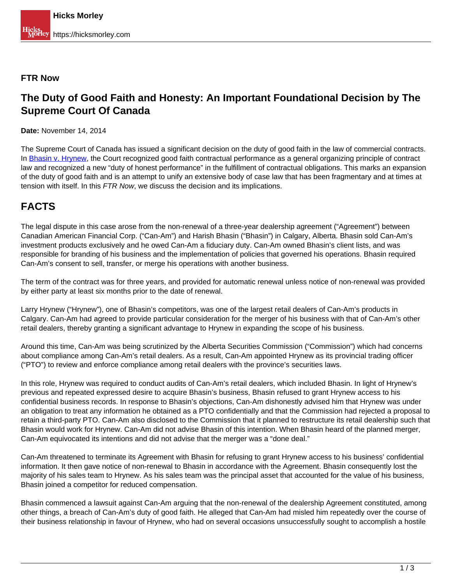#### **FTR Now**

### **The Duty of Good Faith and Honesty: An Important Foundational Decision by The Supreme Court Of Canada**

**Date:** November 14, 2014

The Supreme Court of Canada has issued a significant decision on the duty of good faith in the law of commercial contracts. In [Bhasin v. Hrynew](http://www.canlii.org/en/ca/scc/doc/2014/2014scc71/2014scc71.html), the Court recognized good faith contractual performance as a general organizing principle of contract law and recognized a new "duty of honest performance" in the fulfillment of contractual obligations. This marks an expansion of the duty of good faith and is an attempt to unify an extensive body of case law that has been fragmentary and at times at tension with itself. In this FTR Now, we discuss the decision and its implications.

# **FACTS**

The legal dispute in this case arose from the non-renewal of a three-year dealership agreement ("Agreement") between Canadian American Financial Corp. ("Can-Am") and Harish Bhasin ("Bhasin") in Calgary, Alberta. Bhasin sold Can-Am's investment products exclusively and he owed Can-Am a fiduciary duty. Can-Am owned Bhasin's client lists, and was responsible for branding of his business and the implementation of policies that governed his operations. Bhasin required Can-Am's consent to sell, transfer, or merge his operations with another business.

The term of the contract was for three years, and provided for automatic renewal unless notice of non-renewal was provided by either party at least six months prior to the date of renewal.

Larry Hrynew ("Hrynew"), one of Bhasin's competitors, was one of the largest retail dealers of Can-Am's products in Calgary. Can-Am had agreed to provide particular consideration for the merger of his business with that of Can-Am's other retail dealers, thereby granting a significant advantage to Hrynew in expanding the scope of his business.

Around this time, Can-Am was being scrutinized by the Alberta Securities Commission ("Commission") which had concerns about compliance among Can-Am's retail dealers. As a result, Can-Am appointed Hrynew as its provincial trading officer ("PTO") to review and enforce compliance among retail dealers with the province's securities laws.

In this role, Hrynew was required to conduct audits of Can-Am's retail dealers, which included Bhasin. In light of Hrynew's previous and repeated expressed desire to acquire Bhasin's business, Bhasin refused to grant Hrynew access to his confidential business records. In response to Bhasin's objections, Can-Am dishonestly advised him that Hrynew was under an obligation to treat any information he obtained as a PTO confidentially and that the Commission had rejected a proposal to retain a third-party PTO. Can-Am also disclosed to the Commission that it planned to restructure its retail dealership such that Bhasin would work for Hrynew. Can-Am did not advise Bhasin of this intention. When Bhasin heard of the planned merger, Can-Am equivocated its intentions and did not advise that the merger was a "done deal."

Can-Am threatened to terminate its Agreement with Bhasin for refusing to grant Hrynew access to his business' confidential information. It then gave notice of non-renewal to Bhasin in accordance with the Agreement. Bhasin consequently lost the majority of his sales team to Hrynew. As his sales team was the principal asset that accounted for the value of his business, Bhasin joined a competitor for reduced compensation.

Bhasin commenced a lawsuit against Can-Am arguing that the non-renewal of the dealership Agreement constituted, among other things, a breach of Can-Am's duty of good faith. He alleged that Can-Am had misled him repeatedly over the course of their business relationship in favour of Hrynew, who had on several occasions unsuccessfully sought to accomplish a hostile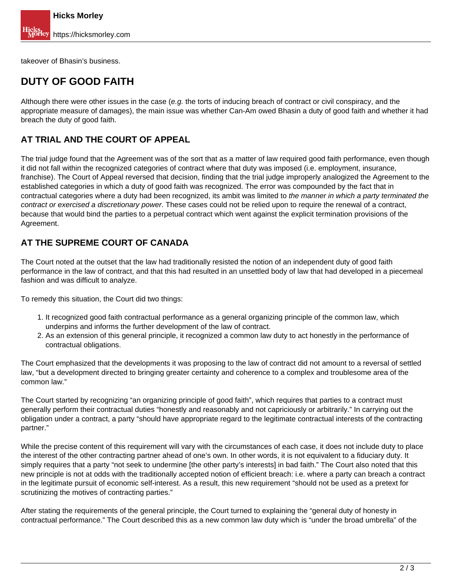takeover of Bhasin's business.

### **DUTY OF GOOD FAITH**

Although there were other issues in the case (e.g. the torts of inducing breach of contract or civil conspiracy, and the appropriate measure of damages), the main issue was whether Can-Am owed Bhasin a duty of good faith and whether it had breach the duty of good faith.

#### **AT TRIAL AND THE COURT OF APPEAL**

The trial judge found that the Agreement was of the sort that as a matter of law required good faith performance, even though it did not fall within the recognized categories of contract where that duty was imposed (i.e. employment, insurance, franchise). The Court of Appeal reversed that decision, finding that the trial judge improperly analogized the Agreement to the established categories in which a duty of good faith was recognized. The error was compounded by the fact that in contractual categories where a duty had been recognized, its ambit was limited to the manner in which a party terminated the contract or exercised a discretionary power. These cases could not be relied upon to require the renewal of a contract, because that would bind the parties to a perpetual contract which went against the explicit termination provisions of the Agreement.

#### **AT THE SUPREME COURT OF CANADA**

The Court noted at the outset that the law had traditionally resisted the notion of an independent duty of good faith performance in the law of contract, and that this had resulted in an unsettled body of law that had developed in a piecemeal fashion and was difficult to analyze.

To remedy this situation, the Court did two things:

- 1. It recognized good faith contractual performance as a general organizing principle of the common law, which underpins and informs the further development of the law of contract.
- 2. As an extension of this general principle, it recognized a common law duty to act honestly in the performance of contractual obligations.

The Court emphasized that the developments it was proposing to the law of contract did not amount to a reversal of settled law, "but a development directed to bringing greater certainty and coherence to a complex and troublesome area of the common law."

The Court started by recognizing "an organizing principle of good faith", which requires that parties to a contract must generally perform their contractual duties "honestly and reasonably and not capriciously or arbitrarily." In carrying out the obligation under a contract, a party "should have appropriate regard to the legitimate contractual interests of the contracting partner."

While the precise content of this requirement will vary with the circumstances of each case, it does not include duty to place the interest of the other contracting partner ahead of one's own. In other words, it is not equivalent to a fiduciary duty. It simply requires that a party "not seek to undermine [the other party's interests] in bad faith." The Court also noted that this new principle is not at odds with the traditionally accepted notion of efficient breach: i.e. where a party can breach a contract in the legitimate pursuit of economic self-interest. As a result, this new requirement "should not be used as a pretext for scrutinizing the motives of contracting parties."

After stating the requirements of the general principle, the Court turned to explaining the "general duty of honesty in contractual performance." The Court described this as a new common law duty which is "under the broad umbrella" of the